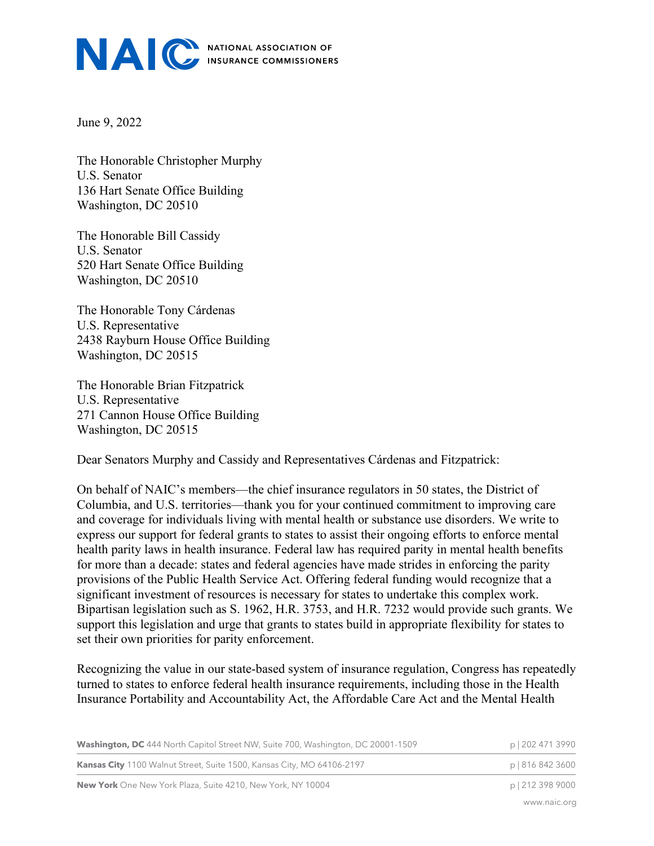

June 9, 2022

The Honorable Christopher Murphy U.S. Senator 136 Hart Senate Office Building Washington, DC 20510

The Honorable Bill Cassidy U.S. Senator 520 Hart Senate Office Building Washington, DC 20510

The Honorable Tony Cárdenas U.S. Representative 2438 Rayburn House Office Building Washington, DC 20515

The Honorable Brian Fitzpatrick U.S. Representative 271 Cannon House Office Building Washington, DC 20515

Dear Senators Murphy and Cassidy and Representatives Cárdenas and Fitzpatrick:

On behalf of NAIC's members—the chief insurance regulators in 50 states, the District of Columbia, and U.S. territories—thank you for your continued commitment to improving care and coverage for individuals living with mental health or substance use disorders. We write to express our support for federal grants to states to assist their ongoing efforts to enforce mental health parity laws in health insurance. Federal law has required parity in mental health benefits for more than a decade: states and federal agencies have made strides in enforcing the parity provisions of the Public Health Service Act. Offering federal funding would recognize that a significant investment of resources is necessary for states to undertake this complex work. Bipartisan legislation such as S. 1962, H.R. 3753, and H.R. 7232 would provide such grants. We support this legislation and urge that grants to states build in appropriate flexibility for states to set their own priorities for parity enforcement.

Recognizing the value in our state-based system of insurance regulation, Congress has repeatedly turned to states to enforce federal health insurance requirements, including those in the Health Insurance Portability and Accountability Act, the Affordable Care Act and the Mental Health

| <b>Washington, DC</b> 444 North Capitol Street NW, Suite 700, Washington, DC 20001-1509 | p   202 471 3990 |
|-----------------------------------------------------------------------------------------|------------------|
| <b>Kansas City</b> 1100 Walnut Street, Suite 1500, Kansas City, MO 64106-2197           | p   816 842 3600 |
| <b>New York</b> One New York Plaza, Suite 4210, New York, NY 10004                      | p   212 398 9000 |

www.naic.org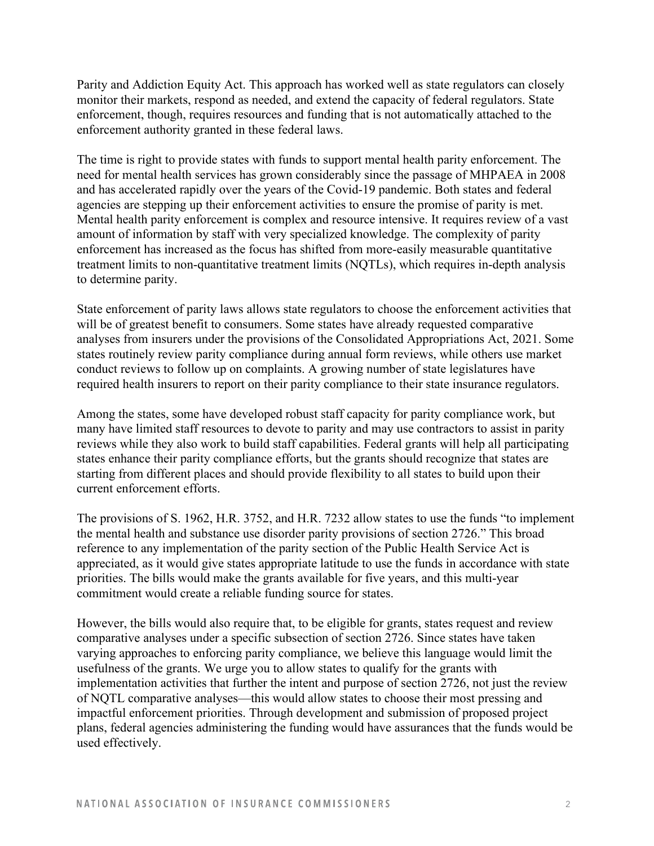Parity and Addiction Equity Act. This approach has worked well as state regulators can closely monitor their markets, respond as needed, and extend the capacity of federal regulators. State enforcement, though, requires resources and funding that is not automatically attached to the enforcement authority granted in these federal laws.

The time is right to provide states with funds to support mental health parity enforcement. The need for mental health services has grown considerably since the passage of MHPAEA in 2008 and has accelerated rapidly over the years of the Covid-19 pandemic. Both states and federal agencies are stepping up their enforcement activities to ensure the promise of parity is met. Mental health parity enforcement is complex and resource intensive. It requires review of a vast amount of information by staff with very specialized knowledge. The complexity of parity enforcement has increased as the focus has shifted from more-easily measurable quantitative treatment limits to non-quantitative treatment limits (NQTLs), which requires in-depth analysis to determine parity.

State enforcement of parity laws allows state regulators to choose the enforcement activities that will be of greatest benefit to consumers. Some states have already requested comparative analyses from insurers under the provisions of the Consolidated Appropriations Act, 2021. Some states routinely review parity compliance during annual form reviews, while others use market conduct reviews to follow up on complaints. A growing number of state legislatures have required health insurers to report on their parity compliance to their state insurance regulators.

Among the states, some have developed robust staff capacity for parity compliance work, but many have limited staff resources to devote to parity and may use contractors to assist in parity reviews while they also work to build staff capabilities. Federal grants will help all participating states enhance their parity compliance efforts, but the grants should recognize that states are starting from different places and should provide flexibility to all states to build upon their current enforcement efforts.

The provisions of S. 1962, H.R. 3752, and H.R. 7232 allow states to use the funds "to implement the mental health and substance use disorder parity provisions of section 2726." This broad reference to any implementation of the parity section of the Public Health Service Act is appreciated, as it would give states appropriate latitude to use the funds in accordance with state priorities. The bills would make the grants available for five years, and this multi-year commitment would create a reliable funding source for states.

However, the bills would also require that, to be eligible for grants, states request and review comparative analyses under a specific subsection of section 2726. Since states have taken varying approaches to enforcing parity compliance, we believe this language would limit the usefulness of the grants. We urge you to allow states to qualify for the grants with implementation activities that further the intent and purpose of section 2726, not just the review of NQTL comparative analyses—this would allow states to choose their most pressing and impactful enforcement priorities. Through development and submission of proposed project plans, federal agencies administering the funding would have assurances that the funds would be used effectively.